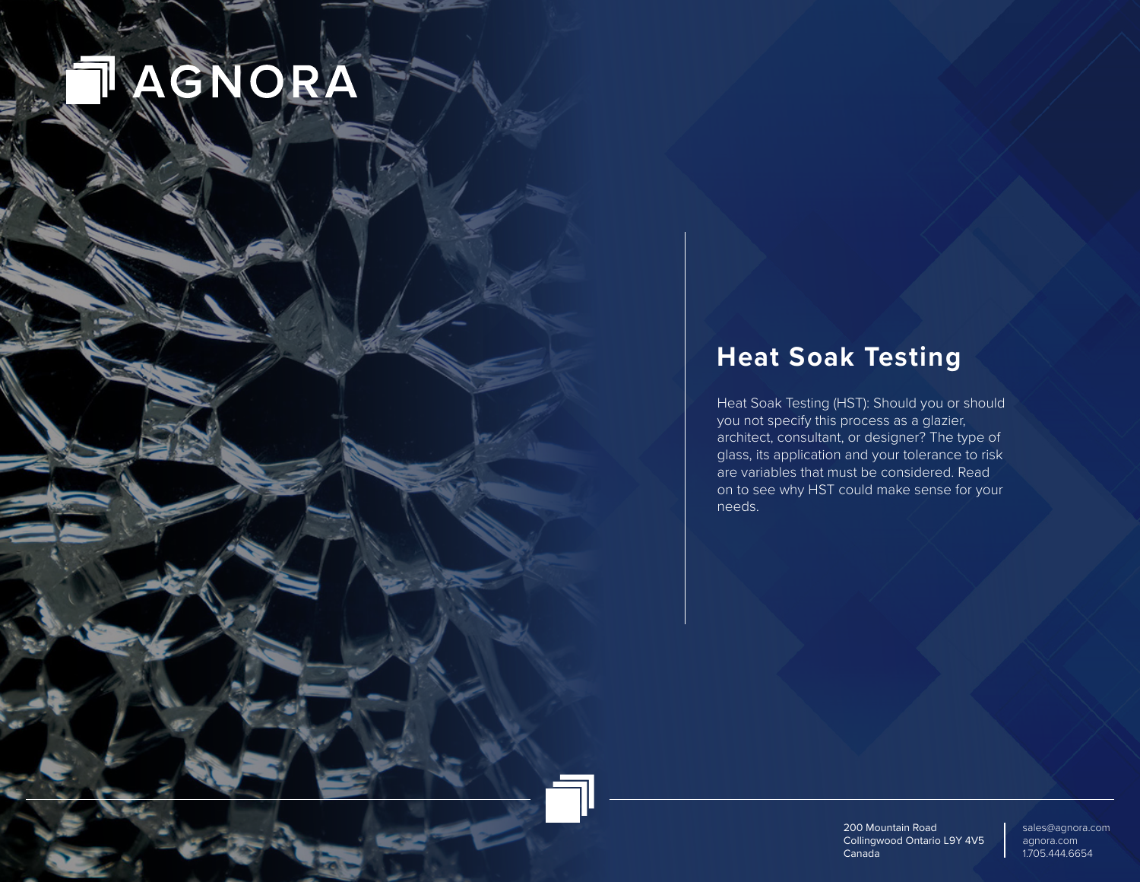# AGNORA

## **Heat Soak Testing**

Heat Soak Testing (HST): Should you or should you not specify this process as a glazier, architect, consultant, or designer? The type of glass, its application and your tolerance to risk are variables that must be considered. Read on to see why HST could make sense for your needs.

> 200 Mountain Road Collingwood Ontario L9Y 4V5 Canada

sales@agnora.com agnora.com 1.705.444.6654